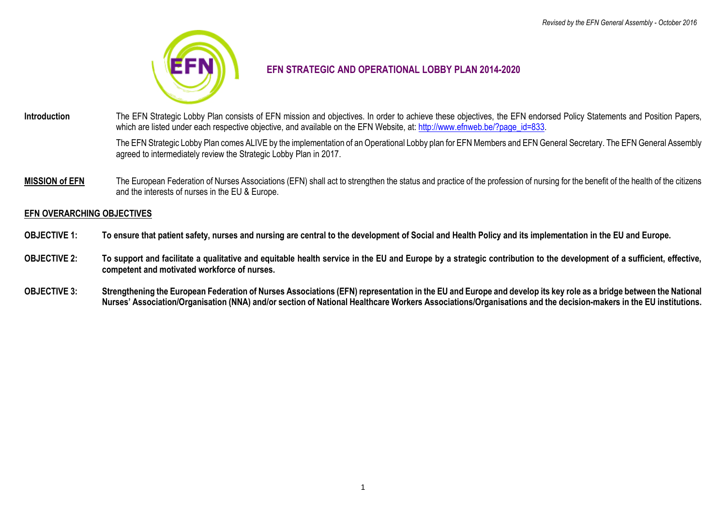

# **EFN STRATEGIC AND OPERATIONAL LOBBY PLAN 2014-2020**

**Introduction** The EFN Strategic Lobby Plan consists of EFN mission and objectives. In order to achieve these objectives, the EFN endorsed Policy Statements and Position Papers, which are listed under each respective objective, and available on the EFN Website, at: [http://www.efnweb.be/?page\\_id=833.](http://www.efnweb.be/?page_id=833)

> The EFN Strategic Lobby Plan comes ALIVE by the implementation of an Operational Lobby plan for EFN Members and EFN General Secretary. The EFN General Assembly agreed to intermediately review the Strategic Lobby Plan in 2017.

**MISSION of EFN** The European Federation of Nurses Associations (EFN) shall act to strengthen the status and practice of the profession of nursing for the benefit of the health of the citizens and the interests of nurses in the EU & Europe.

#### **EFN OVERARCHING OBJECTIVES**

- **OBJECTIVE 1: To ensure that patient safety, nurses and nursing are central to the development of Social and Health Policy and its implementation in the EU and Europe.**
- **OBJECTIVE 2: To support and facilitate a qualitative and equitable health service in the EU and Europe by a strategic contribution to the development of a sufficient, effective, competent and motivated workforce of nurses.**
- **OBJECTIVE 3: Strengthening the European Federation of Nurses Associations (EFN) representation in the EU and Europe and develop its key role as a bridge between the National Nurses' Association/Organisation (NNA) and/or section of National Healthcare Workers Associations/Organisations and the decision-makers in the EU institutions.**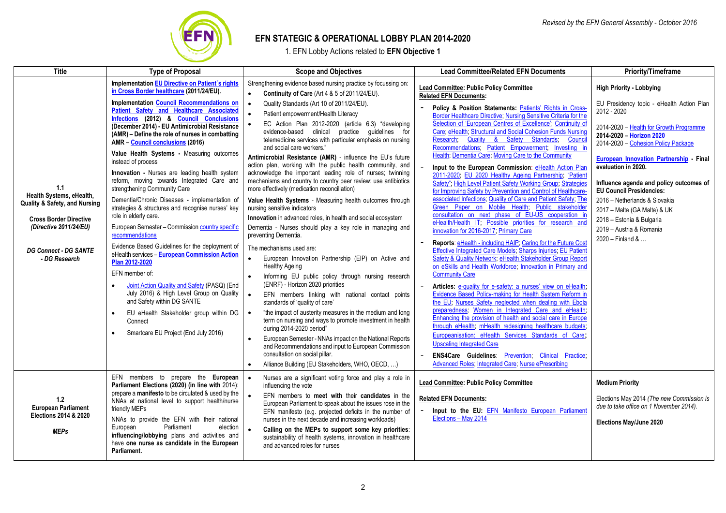

# **EFN STATEGIC & OPERATIONAL LOBBY PLAN 2014-2020**

1. EFN Lobby Actions related to **EFN Objective 1**

| <b>Title</b>                                                                                                                                                                 | <b>Type of Proposal</b>                                                                                                                                                                                                                                                                               | <b>Scope and Objectives</b>                                                                                                                                                                                                                                                                                                                                                                       | <b>Lead Committee/Related EFN Documents</b>                                                                                                                                                                                                                                                                                                                                | <b>Priority/Timeframe</b>                                                                                                                                                   |
|------------------------------------------------------------------------------------------------------------------------------------------------------------------------------|-------------------------------------------------------------------------------------------------------------------------------------------------------------------------------------------------------------------------------------------------------------------------------------------------------|---------------------------------------------------------------------------------------------------------------------------------------------------------------------------------------------------------------------------------------------------------------------------------------------------------------------------------------------------------------------------------------------------|----------------------------------------------------------------------------------------------------------------------------------------------------------------------------------------------------------------------------------------------------------------------------------------------------------------------------------------------------------------------------|-----------------------------------------------------------------------------------------------------------------------------------------------------------------------------|
| 1.1<br>Health Systems, eHealth,<br>Quality & Safety, and Nursing<br><b>Cross Border Directive</b><br>(Directive 2011/24/EU)<br><b>DG Connect - DG SANTE</b><br>- DG Research | <b>Implementation EU Directive on Patient's rights</b><br>in Cross Border healthcare (2011/24/EU).                                                                                                                                                                                                    | Strengthening evidence based nursing practice by focussing on:<br>Continuity of Care (Art 4 & 5 of 2011/24/EU).                                                                                                                                                                                                                                                                                   | <b>Lead Committee: Public Policy Committee</b><br><b>Related EFN Documents:</b>                                                                                                                                                                                                                                                                                            | <b>High Priority - Lobbying</b>                                                                                                                                             |
|                                                                                                                                                                              | <b>Implementation Council Recommendations on</b><br>Patient Safety and Healthcare Associated<br>Infections (2012) & Council Conclusions<br>(December 2014) - EU Antimicrobial Resistance<br>(AMR) – Define the role of nurses in combatting<br>AMR - Council conclusions (2016)                       | Quality Standards (Art 10 of 2011/24/EU).<br>Patient empowerment/Health Literacy<br>EC Action Plan 2012-2020 (article 6.3) "developing<br>evidence-based clinical practice guidelines for<br>telemedicine services with particular emphasis on nursing                                                                                                                                            | Policy & Position Statements: Patients' Rights in Cross-<br>Border Healthcare Directive, Nursing Sensitive Criteria for the<br>Selection of 'European Centres of Excellence', Continuity of<br>Care, eHealth, Structural and Social Cohesion Funds Nursing<br>Quality & Safety Standards;<br>Research.<br>Council<br>Recommendations; Patient Empowerment; Investing in    | EU Presidency topic - eHealth Action Plan<br>2012 - 2020<br>2014-2020 - Health for Growth Programme<br>2014-2020 - Horizon 2020<br>2014-2020 - Cohesion Policy Package      |
|                                                                                                                                                                              | Value Health Systems - Measuring outcomes<br>instead of process<br>Innovation - Nurses are leading health system<br>reform, moving towards Integrated Care and<br>strengthening Community Care<br>Dementia/Chronic Diseases - implementation of                                                       | and social care workers."<br>Antimicrobial Resistance (AMR) - influence the EU's future<br>action plan, working with the public health community, and<br>acknowledge the important leading role of nurses; twinning<br>mechanisms and country to country peer review; use antibiotics<br>more effectively (medication reconciliation)<br>Value Health Systems - Measuring health outcomes through | Health, Dementia Care, Moving Care to the Community<br>Input to the European Commission: eHealth Action Plan<br>2011-2020, EU 2020 Healthy Ageing Partnership, "Patient<br>Safety", High Level Patient Safety Working Group, Strategies<br>for Improving Safety by Prevention and Control of Healthcare-<br>associated Infections. Quality of Care and Patient Safety, The | European Innovation Partnership Final<br>evaluation in 2020.<br>Influence agenda and policy outcomes of<br><b>EU Council Presidencies:</b><br>2016 - Netherlands & Slovakia |
|                                                                                                                                                                              | strategies & structures and recognise nurses' key<br>role in elderly care.<br>European Semester - Commission country specific<br>recommendations                                                                                                                                                      | nursing sensitive indicators<br>Innovation in advanced roles, in health and social ecosystem<br>Dementia - Nurses should play a key role in managing and<br>preventing Dementia.                                                                                                                                                                                                                  | Green Paper on Mobile Health; Public stakeholder<br>consultation on next phase of EU-US cooperation in<br>eHealth/Health IT, Possible priorities for research and<br>innovation for 2016-2017, Primary Care                                                                                                                                                                | 2017 - Malta (GA Malta) & UK<br>2018 - Estonia & Bulgaria<br>2019 - Austria & Romania<br>2020 - Finland &                                                                   |
|                                                                                                                                                                              | Evidence Based Guidelines for the deployment of<br>eHealth services - European Commission Action<br>Plan 2012-2020<br>EFN member of:                                                                                                                                                                  | The mechanisms used are:<br>European Innovation Partnership (EIP) on Active and<br><b>Healthy Ageing</b><br>Informing EU public policy through nursing research                                                                                                                                                                                                                                   | Reports: eHealth - including HAIP; Caring for the Future Cost<br>Effective Integrated Care Models, Sharps Injuries, EU Patient<br>Safety & Quality Network; eHealth Stakeholder Group Report<br>on eSkills and Health Workforce, Innovation in Primary and<br><b>Community Care</b>                                                                                        |                                                                                                                                                                             |
|                                                                                                                                                                              | Joint Action Quality and Safety (PASQ) (End<br>July 2016) & High Level Group on Quality<br>and Safety within DG SANTE                                                                                                                                                                                 | (ENRF) - Horizon 2020 priorities<br>EFN members linking with national contact points<br>standards of 'quality of care'                                                                                                                                                                                                                                                                            | Articles: e-quality for e-safety: a nurses' view on eHealth,<br>Evidence Based Policy-making for Health System Reform in<br>the EU, Nurses Safety neglected when dealing with Ebola<br>preparedness, Women in Integrated Care and eHealth;                                                                                                                                 |                                                                                                                                                                             |
|                                                                                                                                                                              | EU eHealth Stakeholder group within DG<br>$\bullet$<br>Connect<br>Smartcare EU Project (End July 2016)                                                                                                                                                                                                | "the impact of austerity measures in the medium and long<br>term on nursing and ways to promote investment in health<br>during 2014-2020 period"<br>European Semester - NNAs impact on the National Reports<br>and Recommendations and input to European Commission                                                                                                                               | Enhancing the provision of health and social care in Europe<br>through eHealth, mHealth redesigning healthcare budgets;<br>Europeanisation: eHealth Services Standards of Care;<br><b>Upscaling Integrated Care</b>                                                                                                                                                        |                                                                                                                                                                             |
|                                                                                                                                                                              |                                                                                                                                                                                                                                                                                                       | consultation on social pillar.<br>Alliance Building (EU Stakeholders, WHO, OECD, )                                                                                                                                                                                                                                                                                                                | <b>ENS4Care Guidelines: Prevention; Clinical Practice;</b><br>Advanced Roles, Integrated Care, Nurse ePrescribing                                                                                                                                                                                                                                                          |                                                                                                                                                                             |
| 1.2<br><b>European Parliament</b><br><b>Elections 2014 &amp; 2020</b>                                                                                                        | EFN members to prepare the European<br>Parliament Elections (2020) (in line with 2014):<br>prepare a manifesto to be circulated & used by the<br>NNAs at national level to support health/nurse<br>friendly MEPs<br>NNAs to provide the EFN with their national<br>European<br>Parliament<br>election | Nurses are a significant voting force and play a role in<br>influencing the vote<br>EFN members to meet with their candidates in the<br>European Parliament to speak about the issues rose in the<br>EFN manifesto (e.g. projected deficits in the number of<br>nurses in the next decade and increasing workloads)                                                                               | <b>Lead Committee: Public Policy Committee</b><br><b>Related EFN Documents:</b><br>Input to the EU: EFN Manifesto European Parliament<br>Elections - May 2014                                                                                                                                                                                                              | <b>Medium Priority</b><br>Elections May 2014 (The new Commission is<br>due to take office on 1 November 2014).<br>Elections May/June 2020                                   |
| <b>MEPs</b>                                                                                                                                                                  | influencing/lobbying plans and activities and<br>have one nurse as candidate in the European<br>Parliament.                                                                                                                                                                                           | Calling on the MEPs to support some key priorities:<br>sustainability of health systems, innovation in healthcare<br>and advanced roles for nurses                                                                                                                                                                                                                                                |                                                                                                                                                                                                                                                                                                                                                                            |                                                                                                                                                                             |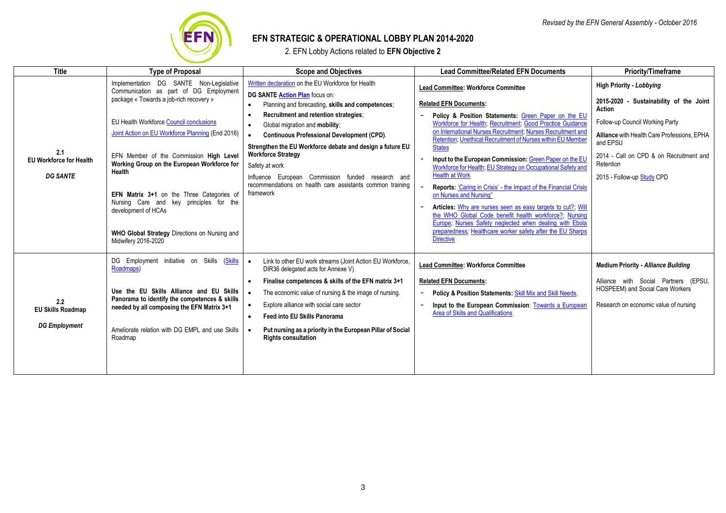

# **EFN STRATEGIC & OPERATIONAL LOBBY PLAN 2014-2020**

2. EFN Lobby Actions related to **EFN Objective 2**

| <b>Title</b>                                             | <b>Type of Proposal</b>                                                                                                                                                                                                                                                                                                                                                                                                                                                                                                              | <b>Scope and Objectives</b>                                                                                                                                                                                                                                                                                                                                                                                                                                                                                          | <b>Lead Committee/Related EFN Documents</b>                                                                                                                                                                                                                                                                                                                                                                                                                                                                                                                                                                                                                                                                                                                                                                                                                                  | <b>Priority/Timeframe</b>                                                                                                                                                                                                                                                |
|----------------------------------------------------------|--------------------------------------------------------------------------------------------------------------------------------------------------------------------------------------------------------------------------------------------------------------------------------------------------------------------------------------------------------------------------------------------------------------------------------------------------------------------------------------------------------------------------------------|----------------------------------------------------------------------------------------------------------------------------------------------------------------------------------------------------------------------------------------------------------------------------------------------------------------------------------------------------------------------------------------------------------------------------------------------------------------------------------------------------------------------|------------------------------------------------------------------------------------------------------------------------------------------------------------------------------------------------------------------------------------------------------------------------------------------------------------------------------------------------------------------------------------------------------------------------------------------------------------------------------------------------------------------------------------------------------------------------------------------------------------------------------------------------------------------------------------------------------------------------------------------------------------------------------------------------------------------------------------------------------------------------------|--------------------------------------------------------------------------------------------------------------------------------------------------------------------------------------------------------------------------------------------------------------------------|
| 2.1<br><b>EU Workforce for Health</b><br><b>DG SANTE</b> | Implementation DG SANTE Non-Legislative<br>Communication as part of DG Employment<br>package « Towards a job-rich recovery »<br>EU Health Workforce Council conclusions<br>Joint Action on EU Workforce Planning (End 2016)<br>EFN Member of the Commission High Level<br>Working Group on the European Workforce for<br><b>Health</b><br>EFN Matrix 3+1 on the Three Categories of<br>Nursing Care and key principles for the<br>development of HCAs<br><b>WHO Global Strategy Directions on Nursing and</b><br>Midwifery 2016-2020 | Written declaration on the EU Workforce for Health<br>DG SANTE Action Plan focus on:<br>Planning and forecasting, skills and competences;<br>Recruitment and retention strategies:<br>Global migration and mobility:<br><b>Continuous Professional Development (CPD).</b><br>Strengthen the EU Workforce debate and design a future EU<br><b>Workforce Strategy</b><br>Safety at work<br>Influence European Commission funded research and<br>recommendations on health care assistants common training<br>framework | <b>Lead Committee: Workforce Committee</b><br><b>Related EFN Documents:</b><br>Policy & Position Statements: Green Paper on the EU<br>Workforce for Health; Recruitment; Good Practice Guidance<br>on International Nurses Recruitment, Nurses Recruitment and<br>Retention; Unethical Recruitment of Nurses within EU Member<br><b>States</b><br>Input to the European Commission: Green Paper on the EU<br>Workforce for Health, EU Strategy on Occupational Safety and<br><b>Health at Work</b><br><b>Reports: 'Caring in Crisis' - the Impact of the Financial Crisis</b><br>on Nurses and Nursing"<br>Articles: Why are nurses seen as easy targets to cut? Will<br>the WHO Global Code benefit health workforce?; Nursing<br>Europe, Nurses Safety neglected when dealing with Ebola<br>preparedness, Healthcare worker safety after the EU Sharps<br><b>Directive</b> | <b>High Priority - Lobbying</b><br>2015-2020 - Sustainability of the Joint<br>Action<br>Follow-up Council Working Party<br>Alliance with Health Care Professions, EPHA<br>and EPSU<br>2014 - Call on CPD & on Recruitment and<br>Retention<br>2015 - Follow-up Study CPD |
| 2.2<br><b>EU Skills Roadmap</b><br><b>DG Employment</b>  | DG Employment initiative on Skills (Skills<br>Roadmaps)<br>Use the EU Skills Alliance and EU Skills<br>Panorama to identify the competences & skills<br>needed by all composing the EFN Matrix 3+1<br>Ameliorate relation with DG EMPL and use Skills<br>Roadmap                                                                                                                                                                                                                                                                     | Link to other EU work streams (Joint Action EU Workforce,<br>DIR36 delegated acts for Annexe V)<br>Finalise competences & skills of the EFN matrix 3+1<br>The economic value of nursing & the image of nursing.<br>Explore alliance with social care sector<br><b>Feed into EU Skills Panorama</b><br>Put nursing as a priority in the European Pillar of Social<br><b>Rights consultation</b>                                                                                                                       | <b>Lead Committee: Workforce Committee</b><br><b>Related EFN Documents:</b><br><b>Policy &amp; Position Statements: Skill Mix and Skill Needs.</b><br>Input to the European Commission: Towards a European<br><b>Area of Skills and Qualifications</b>                                                                                                                                                                                                                                                                                                                                                                                                                                                                                                                                                                                                                       | <b>Medium Priority - Alliance Building</b><br>Alliance with Social Partners (EPSU,<br>HOSPEEM) and Social Care Workers<br>Research on economic value of nursing                                                                                                          |